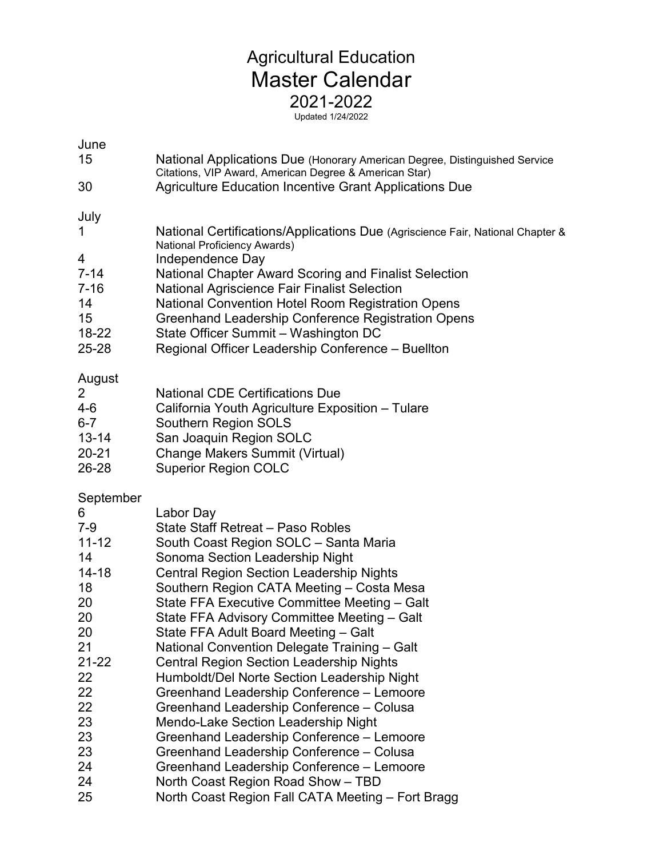## Agricultural Education Master Calendar 2021-2022

Updated 1/24/2022

| June                                                                                                                               | National Applications Due (Honorary American Degree, Distinguished Service                                                                                                                                                                                                                                                                                                                                                                                                                                                                                                                                                                                                                              |
|------------------------------------------------------------------------------------------------------------------------------------|---------------------------------------------------------------------------------------------------------------------------------------------------------------------------------------------------------------------------------------------------------------------------------------------------------------------------------------------------------------------------------------------------------------------------------------------------------------------------------------------------------------------------------------------------------------------------------------------------------------------------------------------------------------------------------------------------------|
| 15                                                                                                                                 | Citations, VIP Award, American Degree & American Star)                                                                                                                                                                                                                                                                                                                                                                                                                                                                                                                                                                                                                                                  |
| 30                                                                                                                                 | <b>Agriculture Education Incentive Grant Applications Due</b>                                                                                                                                                                                                                                                                                                                                                                                                                                                                                                                                                                                                                                           |
| July                                                                                                                               | National Certifications/Applications Due (Agriscience Fair, National Chapter &                                                                                                                                                                                                                                                                                                                                                                                                                                                                                                                                                                                                                          |
| 1                                                                                                                                  | National Proficiency Awards)                                                                                                                                                                                                                                                                                                                                                                                                                                                                                                                                                                                                                                                                            |
| 4                                                                                                                                  | Independence Day                                                                                                                                                                                                                                                                                                                                                                                                                                                                                                                                                                                                                                                                                        |
| $7 - 14$                                                                                                                           | National Chapter Award Scoring and Finalist Selection                                                                                                                                                                                                                                                                                                                                                                                                                                                                                                                                                                                                                                                   |
| $7 - 16$                                                                                                                           | <b>National Agriscience Fair Finalist Selection</b>                                                                                                                                                                                                                                                                                                                                                                                                                                                                                                                                                                                                                                                     |
| 14                                                                                                                                 | National Convention Hotel Room Registration Opens                                                                                                                                                                                                                                                                                                                                                                                                                                                                                                                                                                                                                                                       |
| 15                                                                                                                                 | Greenhand Leadership Conference Registration Opens                                                                                                                                                                                                                                                                                                                                                                                                                                                                                                                                                                                                                                                      |
| 18-22                                                                                                                              | State Officer Summit - Washington DC                                                                                                                                                                                                                                                                                                                                                                                                                                                                                                                                                                                                                                                                    |
| 25-28                                                                                                                              | Regional Officer Leadership Conference - Buellton                                                                                                                                                                                                                                                                                                                                                                                                                                                                                                                                                                                                                                                       |
| August<br>2<br>4-6<br>$6 - 7$<br>$13 - 14$<br>$20 - 21$<br>26-28                                                                   | <b>National CDE Certifications Due</b><br>California Youth Agriculture Exposition - Tulare<br>Southern Region SOLS<br>San Joaquin Region SOLC<br><b>Change Makers Summit (Virtual)</b><br><b>Superior Region COLC</b>                                                                                                                                                                                                                                                                                                                                                                                                                                                                                   |
| September<br>6<br>$7 - 9$<br>$11 - 12$<br>14<br>$14 - 18$<br>18<br>20<br>20<br>20<br>21<br>$21 - 22$<br>22<br>22<br>22<br>23<br>23 | Labor Day<br>State Staff Retreat - Paso Robles<br>South Coast Region SOLC - Santa Maria<br>Sonoma Section Leadership Night<br><b>Central Region Section Leadership Nights</b><br>Southern Region CATA Meeting - Costa Mesa<br>State FFA Executive Committee Meeting - Galt<br>State FFA Advisory Committee Meeting - Galt<br>State FFA Adult Board Meeting - Galt<br>National Convention Delegate Training - Galt<br><b>Central Region Section Leadership Nights</b><br>Humboldt/Del Norte Section Leadership Night<br>Greenhand Leadership Conference - Lemoore<br>Greenhand Leadership Conference - Colusa<br><b>Mendo-Lake Section Leadership Night</b><br>Greenhand Leadership Conference - Lemoore |
| 23                                                                                                                                 | Greenhand Leadership Conference - Colusa                                                                                                                                                                                                                                                                                                                                                                                                                                                                                                                                                                                                                                                                |
| 24                                                                                                                                 | Greenhand Leadership Conference - Lemoore                                                                                                                                                                                                                                                                                                                                                                                                                                                                                                                                                                                                                                                               |
| 24                                                                                                                                 | North Coast Region Road Show - TBD                                                                                                                                                                                                                                                                                                                                                                                                                                                                                                                                                                                                                                                                      |
| 25                                                                                                                                 | North Coast Region Fall CATA Meeting – Fort Bragg                                                                                                                                                                                                                                                                                                                                                                                                                                                                                                                                                                                                                                                       |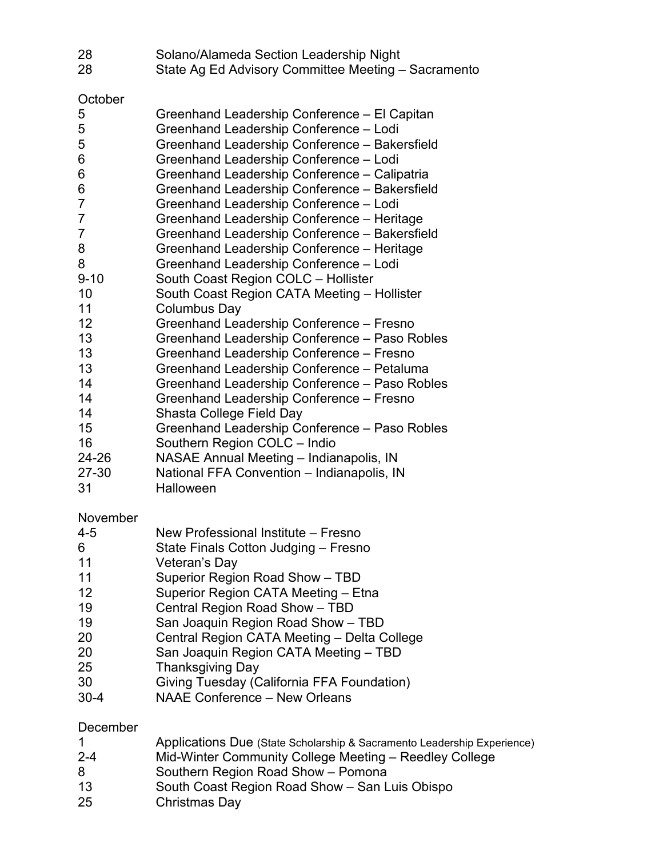| 28<br>28                                                                                                                                                                 | Solano/Alameda Section Leadership Night<br>State Ag Ed Advisory Committee Meeting - Sacramento                                                                                                                                                                                                                                                                                                                                                                                                                                                                                                                                                                                                                                                                                                                                                                                                                                                                                                                                                                                                                                   |
|--------------------------------------------------------------------------------------------------------------------------------------------------------------------------|----------------------------------------------------------------------------------------------------------------------------------------------------------------------------------------------------------------------------------------------------------------------------------------------------------------------------------------------------------------------------------------------------------------------------------------------------------------------------------------------------------------------------------------------------------------------------------------------------------------------------------------------------------------------------------------------------------------------------------------------------------------------------------------------------------------------------------------------------------------------------------------------------------------------------------------------------------------------------------------------------------------------------------------------------------------------------------------------------------------------------------|
| October<br>5<br>5<br>5<br>6<br>6<br>6<br>7<br>7<br>7<br>8<br>8<br>$9 - 10$<br>10<br>11<br>12<br>13<br>13<br>13<br>14<br>14<br>14<br>15<br>16<br>24-26<br>$27 - 30$<br>31 | Greenhand Leadership Conference - El Capitan<br>Greenhand Leadership Conference - Lodi<br>Greenhand Leadership Conference - Bakersfield<br>Greenhand Leadership Conference - Lodi<br>Greenhand Leadership Conference - Calipatria<br>Greenhand Leadership Conference - Bakersfield<br>Greenhand Leadership Conference - Lodi<br>Greenhand Leadership Conference - Heritage<br>Greenhand Leadership Conference - Bakersfield<br>Greenhand Leadership Conference - Heritage<br>Greenhand Leadership Conference - Lodi<br>South Coast Region COLC - Hollister<br>South Coast Region CATA Meeting - Hollister<br>Columbus Day<br>Greenhand Leadership Conference - Fresno<br>Greenhand Leadership Conference - Paso Robles<br>Greenhand Leadership Conference - Fresno<br>Greenhand Leadership Conference - Petaluma<br>Greenhand Leadership Conference - Paso Robles<br>Greenhand Leadership Conference - Fresno<br>Shasta College Field Day<br>Greenhand Leadership Conference - Paso Robles<br>Southern Region COLC - Indio<br>NASAE Annual Meeting - Indianapolis, IN<br>National FFA Convention - Indianapolis, IN<br>Halloween |
| November<br>4-5<br>6<br>11<br>11<br>12<br>19<br>19<br>20<br>20<br>25<br>30<br>$30 - 4$                                                                                   | New Professional Institute - Fresno<br>State Finals Cotton Judging - Fresno<br>Veteran's Day<br>Superior Region Road Show - TBD<br>Superior Region CATA Meeting - Etna<br>Central Region Road Show - TBD<br>San Joaquin Region Road Show - TBD<br>Central Region CATA Meeting - Delta College<br>San Joaquin Region CATA Meeting - TBD<br><b>Thanksgiving Day</b><br>Giving Tuesday (California FFA Foundation)<br><b>NAAE Conference - New Orleans</b>                                                                                                                                                                                                                                                                                                                                                                                                                                                                                                                                                                                                                                                                          |

December

|  | Applications Due (State Scholarship & Sacramento Leadership Experience) |  |
|--|-------------------------------------------------------------------------|--|
|--|-------------------------------------------------------------------------|--|

- 2-4 Mid-Winter Community College Meeting Reedley College<br>8 Southern Region Road Show Pomona
- Southern Region Road Show Pomona
- South Coast Region Road Show San Luis Obispo
- Christmas Day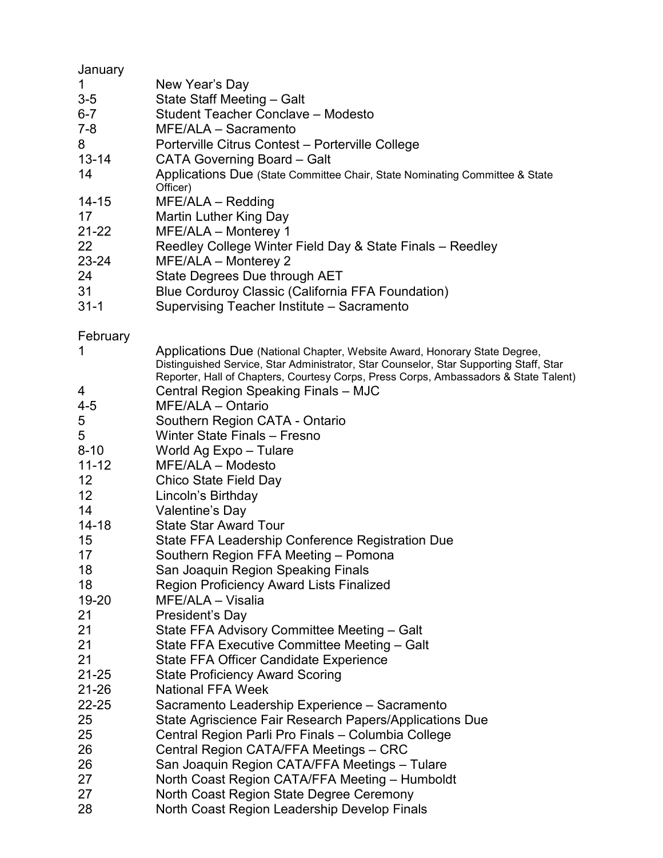| January     |                                                                                                                                                                                                                                                             |
|-------------|-------------------------------------------------------------------------------------------------------------------------------------------------------------------------------------------------------------------------------------------------------------|
| 1           | New Year's Day                                                                                                                                                                                                                                              |
| $3-5$       | State Staff Meeting - Galt                                                                                                                                                                                                                                  |
| $6 - 7$     | Student Teacher Conclave - Modesto                                                                                                                                                                                                                          |
| $7 - 8$     | MFE/ALA - Sacramento                                                                                                                                                                                                                                        |
| 8           | Porterville Citrus Contest - Porterville College                                                                                                                                                                                                            |
| $13 - 14$   | <b>CATA Governing Board - Galt</b>                                                                                                                                                                                                                          |
| 14          | Applications Due (State Committee Chair, State Nominating Committee & State<br>Officer)                                                                                                                                                                     |
| $14 - 15$   | $MFE/ALA - Redding$                                                                                                                                                                                                                                         |
| 17          | <b>Martin Luther King Day</b>                                                                                                                                                                                                                               |
| $21 - 22$   | MFE/ALA - Monterey 1                                                                                                                                                                                                                                        |
| 22          | Reedley College Winter Field Day & State Finals - Reedley                                                                                                                                                                                                   |
| 23-24       | MFE/ALA - Monterey 2                                                                                                                                                                                                                                        |
| 24          | State Degrees Due through AET                                                                                                                                                                                                                               |
| 31          | <b>Blue Corduroy Classic (California FFA Foundation)</b>                                                                                                                                                                                                    |
| $31 - 1$    |                                                                                                                                                                                                                                                             |
|             | Supervising Teacher Institute - Sacramento                                                                                                                                                                                                                  |
| February    |                                                                                                                                                                                                                                                             |
| 1           | Applications Due (National Chapter, Website Award, Honorary State Degree,<br>Distinguished Service, Star Administrator, Star Counselor, Star Supporting Staff, Star<br>Reporter, Hall of Chapters, Courtesy Corps, Press Corps, Ambassadors & State Talent) |
| 4           | Central Region Speaking Finals - MJC                                                                                                                                                                                                                        |
| $4 - 5$     | MFE/ALA - Ontario                                                                                                                                                                                                                                           |
| $\mathbf 5$ | Southern Region CATA - Ontario                                                                                                                                                                                                                              |
| 5           | Winter State Finals - Fresno                                                                                                                                                                                                                                |
| $8 - 10$    | World Ag Expo - Tulare                                                                                                                                                                                                                                      |
| $11 - 12$   | MFE/ALA - Modesto                                                                                                                                                                                                                                           |
| 12          | Chico State Field Day                                                                                                                                                                                                                                       |
| 12          | Lincoln's Birthday                                                                                                                                                                                                                                          |
| 14          | Valentine's Day                                                                                                                                                                                                                                             |
| $14 - 18$   | <b>State Star Award Tour</b>                                                                                                                                                                                                                                |
| 15          | State FFA Leadership Conference Registration Due                                                                                                                                                                                                            |
| 17          | Southern Region FFA Meeting - Pomona                                                                                                                                                                                                                        |
| 18          | San Joaquin Region Speaking Finals                                                                                                                                                                                                                          |
| 18          | <b>Region Proficiency Award Lists Finalized</b>                                                                                                                                                                                                             |
| 19-20       | MFE/ALA - Visalia                                                                                                                                                                                                                                           |
| 21          | President's Day                                                                                                                                                                                                                                             |
| 21          | State FFA Advisory Committee Meeting - Galt                                                                                                                                                                                                                 |
| 21          | State FFA Executive Committee Meeting - Galt                                                                                                                                                                                                                |
| 21          | <b>State FFA Officer Candidate Experience</b>                                                                                                                                                                                                               |
| $21 - 25$   | <b>State Proficiency Award Scoring</b>                                                                                                                                                                                                                      |
| 21-26       | <b>National FFA Week</b>                                                                                                                                                                                                                                    |
| 22-25       | Sacramento Leadership Experience - Sacramento                                                                                                                                                                                                               |
| 25          | State Agriscience Fair Research Papers/Applications Due                                                                                                                                                                                                     |
|             |                                                                                                                                                                                                                                                             |
| 25          | Central Region Parli Pro Finals - Columbia College                                                                                                                                                                                                          |
| 26          | Central Region CATA/FFA Meetings - CRC                                                                                                                                                                                                                      |
| 26          | San Joaquin Region CATA/FFA Meetings - Tulare                                                                                                                                                                                                               |
| 27          | North Coast Region CATA/FFA Meeting - Humboldt                                                                                                                                                                                                              |
| 27          | North Coast Region State Degree Ceremony                                                                                                                                                                                                                    |
| 28          | North Coast Region Leadership Develop Finals                                                                                                                                                                                                                |
|             |                                                                                                                                                                                                                                                             |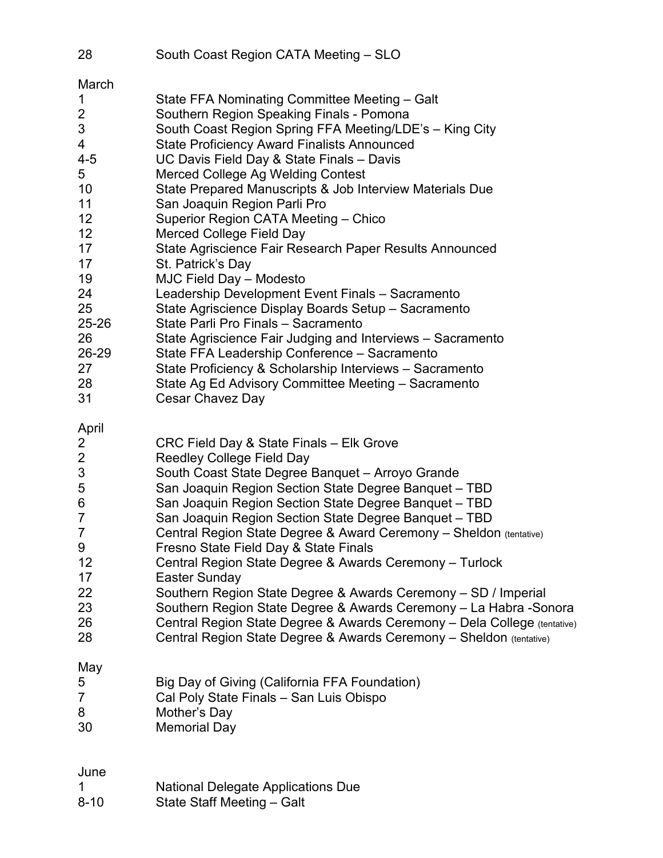| 28                                                                                                                                        | South Coast Region CATA Meeting - SLO                                                                                                                                                                                                                                                                                                                                                                                                                                                                                                                                                                                                                                                                                                                                                                                                                                                                                                                                         |
|-------------------------------------------------------------------------------------------------------------------------------------------|-------------------------------------------------------------------------------------------------------------------------------------------------------------------------------------------------------------------------------------------------------------------------------------------------------------------------------------------------------------------------------------------------------------------------------------------------------------------------------------------------------------------------------------------------------------------------------------------------------------------------------------------------------------------------------------------------------------------------------------------------------------------------------------------------------------------------------------------------------------------------------------------------------------------------------------------------------------------------------|
| March<br>1<br>2<br>3<br>4<br>$4 - 5$<br>5<br>10<br>11<br>12<br>12<br>17<br>17<br>19<br>24<br>25<br>25-26<br>26<br>26-29<br>27<br>28<br>31 | State FFA Nominating Committee Meeting - Galt<br>Southern Region Speaking Finals - Pomona<br>South Coast Region Spring FFA Meeting/LDE's - King City<br><b>State Proficiency Award Finalists Announced</b><br>UC Davis Field Day & State Finals - Davis<br>Merced College Ag Welding Contest<br>State Prepared Manuscripts & Job Interview Materials Due<br>San Joaquin Region Parli Pro<br>Superior Region CATA Meeting - Chico<br>Merced College Field Day<br>State Agriscience Fair Research Paper Results Announced<br>St. Patrick's Day<br>MJC Field Day - Modesto<br>Leadership Development Event Finals - Sacramento<br>State Agriscience Display Boards Setup - Sacramento<br>State Parli Pro Finals - Sacramento<br>State Agriscience Fair Judging and Interviews - Sacramento<br>State FFA Leadership Conference - Sacramento<br>State Proficiency & Scholarship Interviews - Sacramento<br>State Ag Ed Advisory Committee Meeting - Sacramento<br>Cesar Chavez Day |
| April<br>2<br>$\overline{2}$<br>$\sqrt{3}$<br>5<br>6<br>$\overline{7}$<br>$\overline{7}$<br>9<br>12<br>17<br>22<br>23<br>26<br>28         | CRC Field Day & State Finals - Elk Grove<br><b>Reedley College Field Day</b><br>South Coast State Degree Banquet - Arroyo Grande<br>San Joaquin Region Section State Degree Banquet - TBD<br>San Joaquin Region Section State Degree Banquet - TBD<br>San Joaquin Region Section State Degree Banquet - TBD<br>Central Region State Degree & Award Ceremony - Sheldon (tentative)<br>Fresno State Field Day & State Finals<br>Central Region State Degree & Awards Ceremony - Turlock<br>Easter Sunday<br>Southern Region State Degree & Awards Ceremony - SD / Imperial<br>Southern Region State Degree & Awards Ceremony - La Habra -Sonora<br>Central Region State Degree & Awards Ceremony - Dela College (tentative)<br>Central Region State Degree & Awards Ceremony - Sheldon (tentative)                                                                                                                                                                              |
| May<br>5<br>$\overline{7}$<br>8<br>30                                                                                                     | Big Day of Giving (California FFA Foundation)<br>Cal Poly State Finals - San Luis Obispo<br>Mother's Day<br>Memorial Day                                                                                                                                                                                                                                                                                                                                                                                                                                                                                                                                                                                                                                                                                                                                                                                                                                                      |
| June                                                                                                                                      |                                                                                                                                                                                                                                                                                                                                                                                                                                                                                                                                                                                                                                                                                                                                                                                                                                                                                                                                                                               |

| <b>National Delegate Applications Due</b><br>-1 |  |
|-------------------------------------------------|--|
|-------------------------------------------------|--|

8-10 State Staff Meeting – Galt